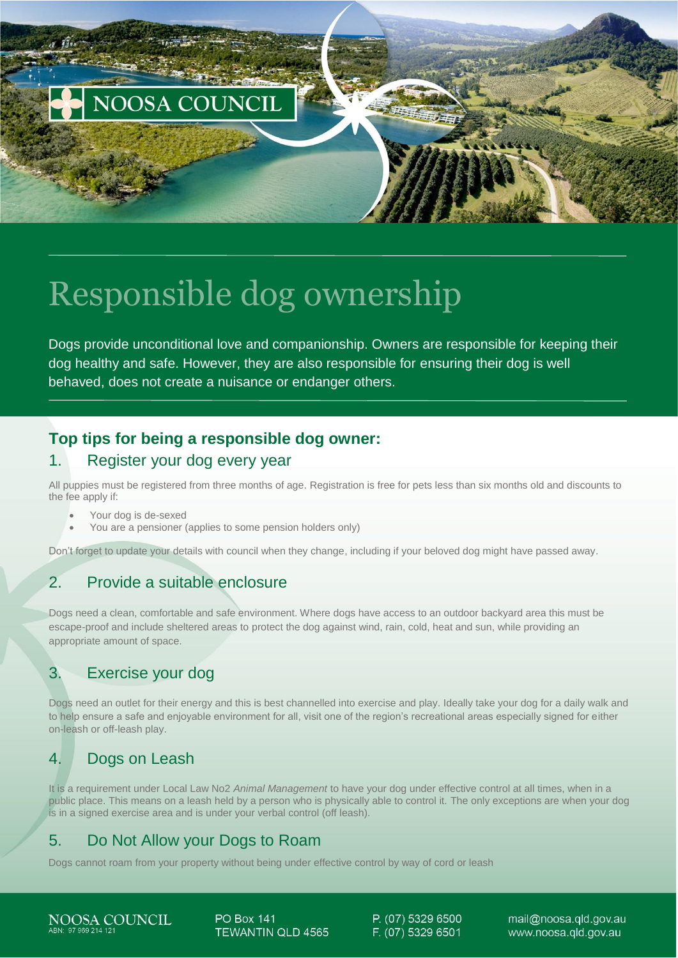

# Responsible dog ownership

Dogs provide unconditional love and companionship. Owners are responsible for keeping their dog healthy and safe. However, they are also responsible for ensuring their dog is well behaved, does not create a nuisance or endanger others.

# **Top tips for being a responsible dog owner:**

#### 1. Register your dog every year

All puppies must be registered from three months of age. Registration is free for pets less than six months old and discounts to the fee apply if:

- Your dog is de-sexed
- You are a pensioner (applies to some pension holders only)

Don't forget to update your details with council when they change, including if your beloved dog might have passed away.

# 2. Provide a suitable enclosure

Dogs need a clean, comfortable and safe environment. Where dogs have access to an outdoor backyard area this must be escape-proof and include sheltered areas to protect the dog against wind, rain, cold, heat and sun, while providing an appropriate amount of space.

# 3. Exercise your dog

Dogs need an outlet for their energy and this is best channelled into exercise and play. Ideally take your dog for a daily walk and to help ensure a safe and enjoyable environment for all, visit one of the region's recreational areas especially signed for either on-leash or off-leash play.

# 4. Dogs on Leash

It is a requirement under Local Law No2 *Animal Management* to have your dog under effective control at all times, when in a public place. This means on a leash held by a person who is physically able to control it. The only exceptions are when your dog is in a signed exercise area and is under your verbal control (off leash).

# 5. Do Not Allow your Dogs to Roam

Dogs cannot roam from your property without being under effective control by way of cord or leash

NOOSA COUNCIL 97 969 214 12

**PO Box 141 TEWANTIN QLD 4565**  P. (07) 5329 6500 F. (07) 5329 6501

mail@noosa.gld.gov.au www.noosa.gld.gov.au